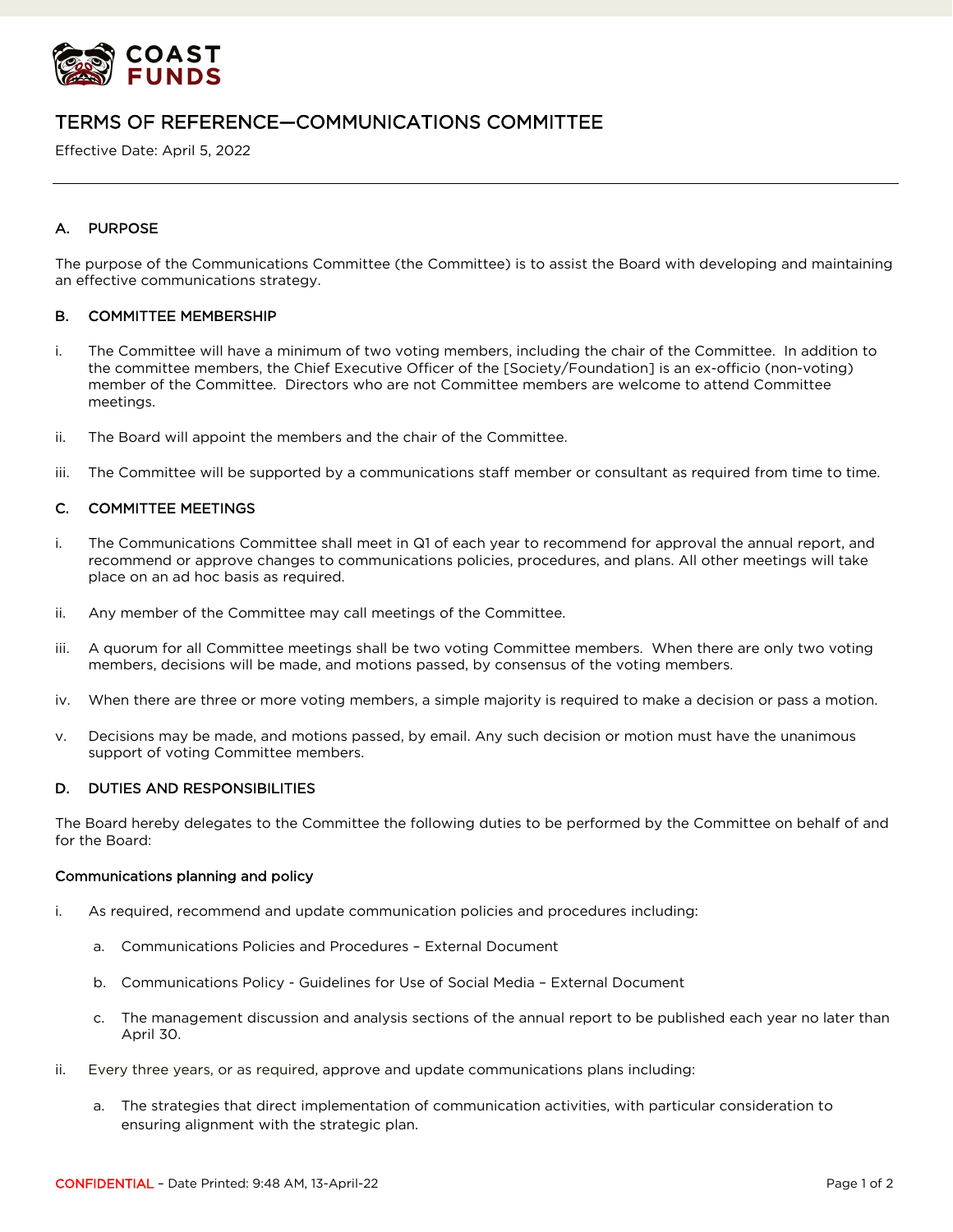

# TERMS OF REFERENCE—COMMUNICATIONS COMMITTEE

Effective Date: April 5, 2022

# A. PURPOSE

The purpose of the Communications Committee (the Committee) is to assist the Board with developing and maintaining an effective communications strategy.

# B. COMMITTEE MEMBERSHIP

- i. The Committee will have a minimum of two voting members, including the chair of the Committee. In addition to the committee members, the Chief Executive Officer of the [Society/Foundation] is an ex-officio (non-voting) member of the Committee. Directors who are not Committee members are welcome to attend Committee meetings.
- ii. The Board will appoint the members and the chair of the Committee.
- iii. The Committee will be supported by a communications staff member or consultant as required from time to time.

# C. COMMITTEE MEETINGS

- i. The Communications Committee shall meet in Q1 of each year to recommend for approval the annual report, and recommend or approve changes to communications policies, procedures, and plans. All other meetings will take place on an ad hoc basis as required.
- ii. Any member of the Committee may call meetings of the Committee.
- iii. A quorum for all Committee meetings shall be two voting Committee members. When there are only two voting members, decisions will be made, and motions passed, by consensus of the voting members.
- iv. When there are three or more voting members, a simple majority is required to make a decision or pass a motion.
- v. Decisions may be made, and motions passed, by email. Any such decision or motion must have the unanimous support of voting Committee members.

## D. DUTIES AND RESPONSIBILITIES

The Board hereby delegates to the Committee the following duties to be performed by the Committee on behalf of and for the Board:

#### Communications planning and policy

- i. As required, recommend and update communication policies and procedures including:
	- a. Communications Policies and Procedures External Document
	- b. Communications Policy Guidelines for Use of Social Media External Document
	- c. The management discussion and analysis sections of the annual report to be published each year no later than April 30.
- ii. Every three years, or as required, approve and update communications plans including:
	- a. The strategies that direct implementation of communication activities, with particular consideration to ensuring alignment with the strategic plan.